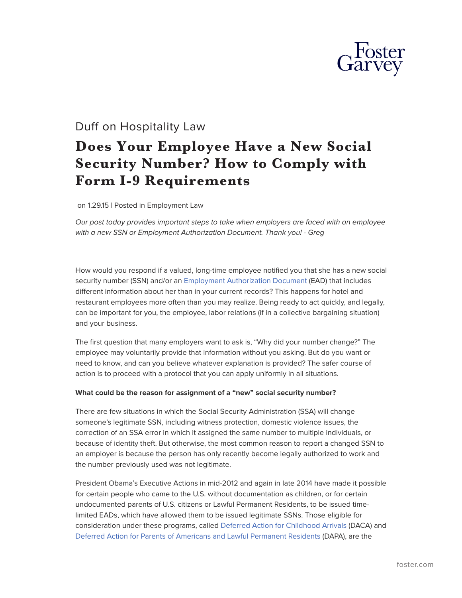

# Duff on Hospitality Law

# **Does Your Employee Have a New Social Security Number? How to Comply with Form I-9 Requirements**

on 1.29.15 | Posted in Employment Law

*Our post today provides important steps to take when employers are faced with an employee with a new SSN or Employment Authorization Document. Thank you! - Greg*

How would you respond if a valued, long-time employee notified you that she has a new social security number (SSN) and/or an [Employment Authorization Document](http://www.uscis.gov/green-card/green-card-processes-and-procedures/employment-authorization-document) (EAD) that includes different information about her than in your current records? This happens for hotel and restaurant employees more often than you may realize. Being ready to act quickly, and legally, can be important for you, the employee, labor relations (if in a collective bargaining situation) and your business.

The first question that many employers want to ask is, "Why did your number change?" The employee may voluntarily provide that information without you asking. But do you want or need to know, and can you believe whatever explanation is provided? The safer course of action is to proceed with a protocol that you can apply uniformly in all situations.

#### **What could be the reason for assignment of a "new" social security number?**

There are few situations in which the Social Security Administration (SSA) will change someone's legitimate SSN, including witness protection, domestic violence issues, the correction of an SSA error in which it assigned the same number to multiple individuals, or because of identity theft. But otherwise, the most common reason to report a changed SSN to an employer is because the person has only recently become legally authorized to work and the number previously used was not legitimate.

President Obama's Executive Actions in mid-2012 and again in late 2014 have made it possible for certain people who came to the U.S. without documentation as children, or for certain undocumented parents of U.S. citizens or Lawful Permanent Residents, to be issued timelimited EADs, which have allowed them to be issued legitimate SSNs. Those eligible for consideration under these programs, called [Deferred Action for Childhood Arrivals](https://www.uscis.gov/archive/consideration-of-deferred-action-for-childhood-arrivals-daca) (DACA) and [Deferred Action for Parents of Americans and Lawful Permanent Residents](http://www.ice.gov/daca/) (DAPA), are the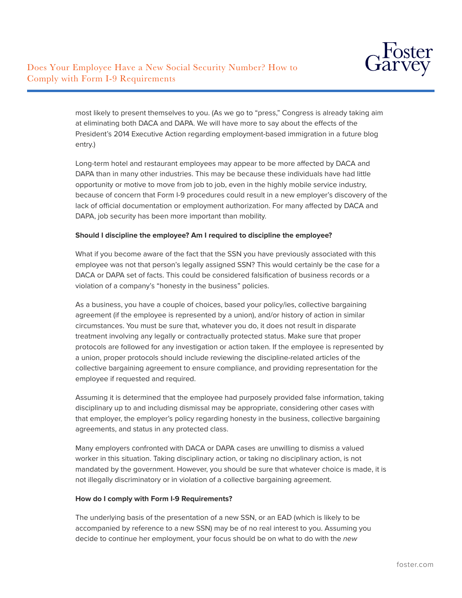

most likely to present themselves to you. (As we go to "press," Congress is already taking aim at eliminating both DACA and DAPA. We will have more to say about the effects of the President's 2014 Executive Action regarding employment-based immigration in a future blog entry.)

Long-term hotel and restaurant employees may appear to be more affected by DACA and DAPA than in many other industries. This may be because these individuals have had little opportunity or motive to move from job to job, even in the highly mobile service industry, because of concern that Form I-9 procedures could result in a new employer's discovery of the lack of official documentation or employment authorization. For many affected by DACA and DAPA, job security has been more important than mobility.

#### **Should I discipline the employee? Am I required to discipline the employee?**

What if you become aware of the fact that the SSN you have previously associated with this employee was not that person's legally assigned SSN? This would certainly be the case for a DACA or DAPA set of facts. This could be considered falsification of business records or a violation of a company's "honesty in the business" policies.

As a business, you have a couple of choices, based your policy/ies, collective bargaining agreement (if the employee is represented by a union), and/or history of action in similar circumstances. You must be sure that, whatever you do, it does not result in disparate treatment involving any legally or contractually protected status. Make sure that proper protocols are followed for any investigation or action taken. If the employee is represented by a union, proper protocols should include reviewing the discipline-related articles of the collective bargaining agreement to ensure compliance, and providing representation for the employee if requested and required.

Assuming it is determined that the employee had purposely provided false information, taking disciplinary up to and including dismissal may be appropriate, considering other cases with that employer, the employer's policy regarding honesty in the business, collective bargaining agreements, and status in any protected class.

Many employers confronted with DACA or DAPA cases are unwilling to dismiss a valued worker in this situation. Taking disciplinary action, or taking no disciplinary action, is not mandated by the government. However, you should be sure that whatever choice is made, it is not illegally discriminatory or in violation of a collective bargaining agreement.

## **How do I comply with Form I-9 Requirements?**

The underlying basis of the presentation of a new SSN, or an EAD (which is likely to be accompanied by reference to a new SSN) may be of no real interest to you. Assuming you decide to continue her employment, your focus should be on what to do with the *new*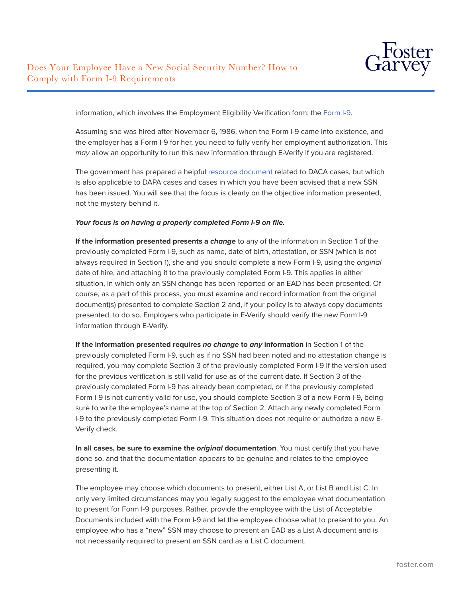

information, which involves the Employment Eligibility Verification form; the [Form I-9.](http://www.uscis.gov/i-9)

Assuming she was hired after November 6, 1986, when the Form I-9 came into existence, and the employer has a Form I-9 for her, you need to fully verify her employment authorization. This *may* allow an opportunity to run this new information through E-Verify if you are registered.

The government has prepared a helpful [resource document](https://www.uscis.gov/sites/default/files/document/fact-sheets/DACA-Fact-Sheet-I-9_Guidance-for-employers_nov20_2012.pdf) related to DACA cases, but which is also applicable to DAPA cases and cases in which you have been advised that a new SSN has been issued. You will see that the focus is clearly on the objective information presented, not the mystery behind it.

#### *Your focus is on having a properly completed Form I-9 on file.*

**If the information presented presents a** *change* to any of the information in Section 1 of the previously completed Form I-9, such as name, date of birth, attestation, or SSN (which is not always required in Section 1), she and you should complete a new Form I-9, using the *original* date of hire, and attaching it to the previously completed Form I-9. This applies in either situation, in which only an SSN change has been reported or an EAD has been presented. Of course, as a part of this process, you must examine and record information from the original document(s) presented to complete Section 2 and, if your policy is to always copy documents presented, to do so. Employers who participate in E-Verify should verify the new Form I-9 information through E-Verify.

**If the information presented requires** *no change* **to** *any* **information** in Section 1 of the previously completed Form I-9, such as if no SSN had been noted and no attestation change is required, you may complete Section 3 of the previously completed Form I-9 if the version used for the previous verification is still valid for use as of the current date. If Section 3 of the previously completed Form I-9 has already been completed, or if the previously completed Form I-9 is not currently valid for use, you should complete Section 3 of a new Form I-9, being sure to write the employee's name at the top of Section 2. Attach any newly completed Form I-9 to the previously completed Form I-9. This situation does not require or authorize a new E-Verify check.

**In all cases, be sure to examine the** *original* **documentation**. You must certify that you have done so, and that the documentation appears to be genuine and relates to the employee presenting it.

The employee may choose which documents to present, either List A, or List B and List C. In only very limited circumstances may you legally suggest to the employee what documentation to present for Form I-9 purposes. Rather, provide the employee with the List of Acceptable Documents included with the Form I-9 and let the employee choose what to present to you. An employee who has a "new" SSN may choose to present an EAD as a List A document and is not necessarily required to present an SSN card as a List C document.